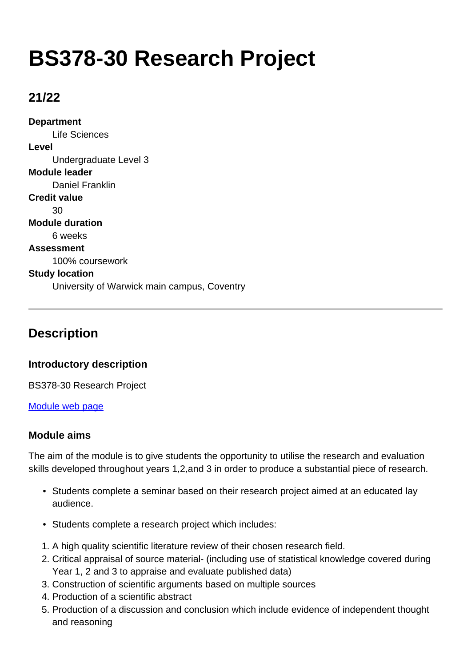# **BS378-30 Research Project**

### **21/22**

**Department** Life Sciences **Level** Undergraduate Level 3 **Module leader** Daniel Franklin **Credit value**  $30$ **Module duration** 6 weeks **Assessment** 100% coursework **Study location** University of Warwick main campus, Coventry

### **Description**

#### **Introductory description**

BS378-30 Research Project

[Module web page](http://moodle.warwick.ac.uk/course/view.php?id=12142)

#### **Module aims**

The aim of the module is to give students the opportunity to utilise the research and evaluation skills developed throughout years 1,2,and 3 in order to produce a substantial piece of research.

- Students complete a seminar based on their research project aimed at an educated lay audience.
- Students complete a research project which includes:
- 1. A high quality scientific literature review of their chosen research field.
- 2. Critical appraisal of source material- (including use of statistical knowledge covered during Year 1, 2 and 3 to appraise and evaluate published data)
- 3. Construction of scientific arguments based on multiple sources
- 4. Production of a scientific abstract
- 5. Production of a discussion and conclusion which include evidence of independent thought and reasoning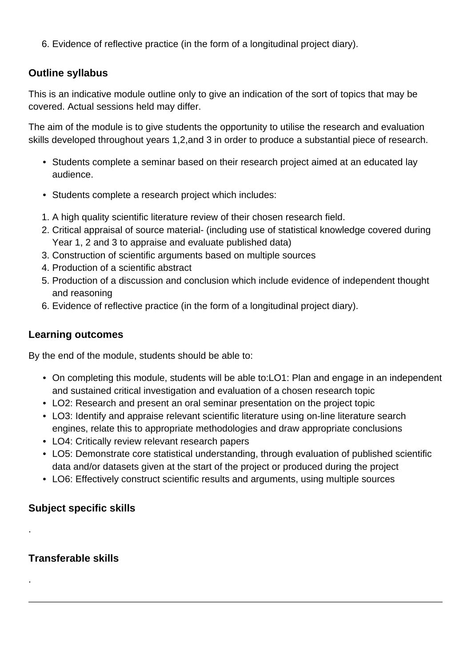6. Evidence of reflective practice (in the form of a longitudinal project diary).

### **Outline syllabus**

This is an indicative module outline only to give an indication of the sort of topics that may be covered. Actual sessions held may differ.

The aim of the module is to give students the opportunity to utilise the research and evaluation skills developed throughout years 1,2,and 3 in order to produce a substantial piece of research.

- Students complete a seminar based on their research project aimed at an educated lay audience.
- Students complete a research project which includes:
- 1. A high quality scientific literature review of their chosen research field.
- 2. Critical appraisal of source material- (including use of statistical knowledge covered during Year 1, 2 and 3 to appraise and evaluate published data)
- 3. Construction of scientific arguments based on multiple sources
- 4. Production of a scientific abstract
- 5. Production of a discussion and conclusion which include evidence of independent thought and reasoning
- 6. Evidence of reflective practice (in the form of a longitudinal project diary).

### **Learning outcomes**

By the end of the module, students should be able to:

- On completing this module, students will be able to:LO1: Plan and engage in an independent and sustained critical investigation and evaluation of a chosen research topic
- LO2: Research and present an oral seminar presentation on the project topic
- LO3: Identify and appraise relevant scientific literature using on-line literature search engines, relate this to appropriate methodologies and draw appropriate conclusions
- LO4: Critically review relevant research papers
- LO5: Demonstrate core statistical understanding, through evaluation of published scientific data and/or datasets given at the start of the project or produced during the project
- LO6: Effectively construct scientific results and arguments, using multiple sources

### **Subject specific skills**

#### **Transferable skills**

.

.